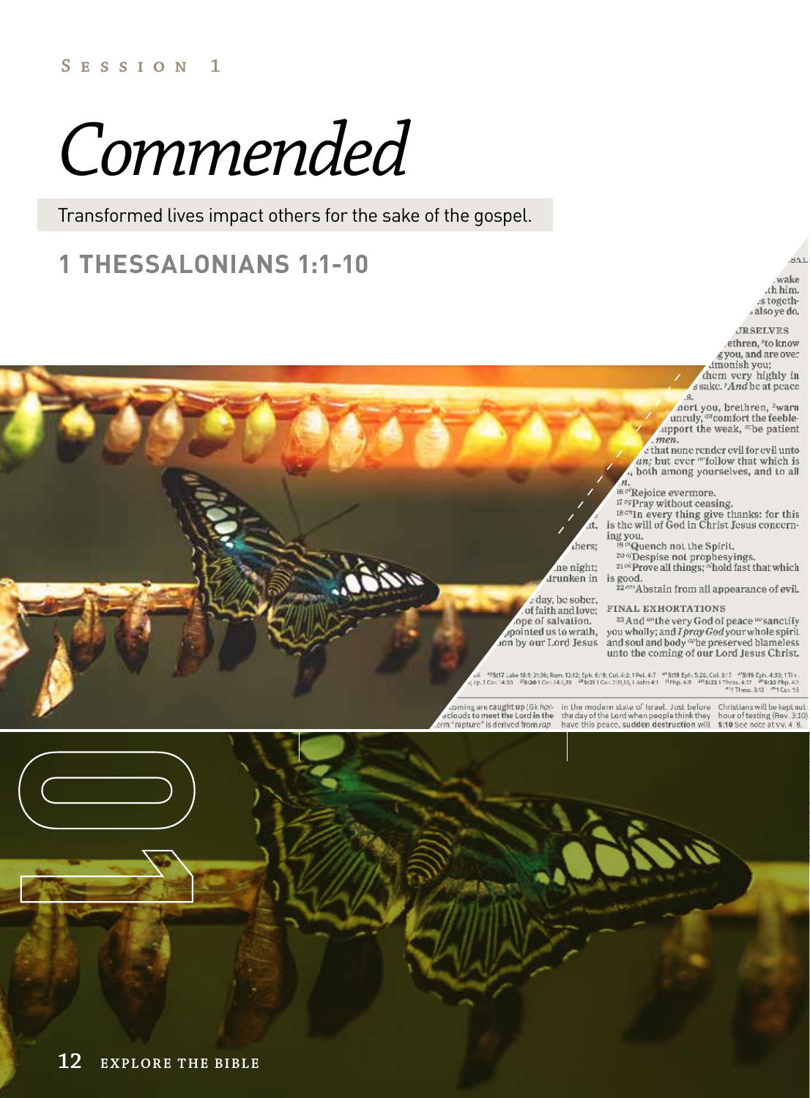**Session 1**

# *Commended*

Transformed lives impact others for the sake of the gospel.

# **1 THESSALONIANS 1:1-10**

ŚA.

wake ch him. s togeths also ye do.

**JRSELVES** ethren, \*to know g you, and are over dmonish you; them very highly in

s sake. 'And be at peace  $\mathcal{L}$ 

ort you, brethren, <sup>2</sup>warn<br>unruly, <sup>or</sup>comfort the feeble-<br>upport the weak, <sup>or</sup>be patient men.

e that none render evil for evil unto an; but ever ""follow that which is , both among yourselves, and to all

<sup>16*of*</sup>Rejoice evermore.

<sup>17</sup><sup>og</sup>Pray without ceasing.

<sup>1829</sup>In every thing give thanks: for this<br>is the will of God in Christ Jesus concerning you.

Quench not the Spirit,

20 % Despise not prophesyings.<br>
<sup>20 %</sup> Despise not prophesyings.

drunken in is good.

22cm Abstain from all appearance of evil.

#### FINAL EXHORTATIONS

<sup>23</sup> And <sup>an</sup>the very God of peace <sup>ao</sup> sanctify by order is a section of the control of the control of the spirite of the spirit of the spirit of the spirit of the spirit of the spirit of the spirit of the spirit of the spirit of the spirit of the spirit of the spirit unto the coming of our Lord Jesus Christ.

a4 | P5517 Luke 18:1; 21:36; Rom. 12:12; Eph. 6:18: Col. 4:2: 1 Pel. 4:7 | P<sup>a</sup>5518 Eph. 5:20, Col. 3:17 | P518 Eph. 4:30; 1 Tim.<br>| Eph. 1 Col. 14:30 | P524 Php. 4:52 | Pass Php. 4:11,15; 1 John 4:1 | Php. 4:8 | P523 21 |

chers:

ne night;

: day, be sober,

of faith and love;

ope of salvation.

ion by our Lord Jesus

Christians will be kept out hour of testing (Rev. 3:10 5:10 See note at vv. 4 8.

coming are caught up (Gk hor-in the modern state of Israel, Just before<br>eclouds to meet the Lord in the the day of the Lord when people think they<br>m "rapture" is derived from rap have this peace, sudden destruction will

**12 EXPLORE THE BIBLE**

(and )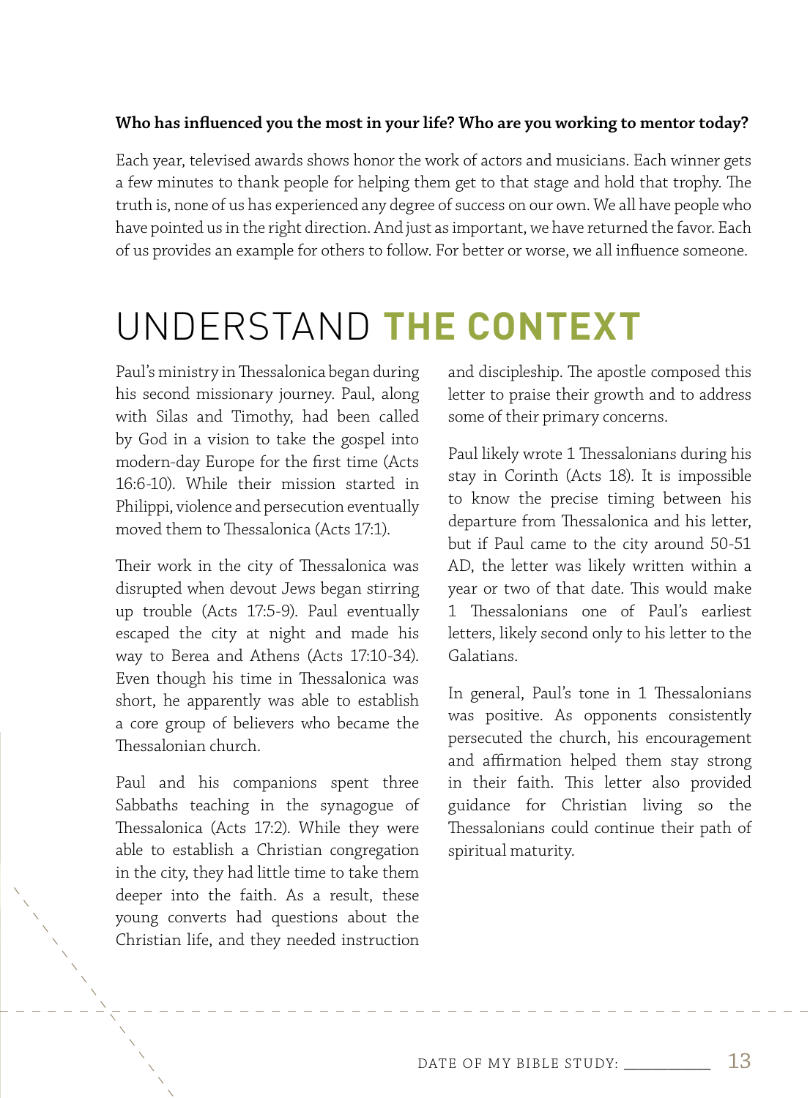#### **Who has influenced you the most in your life? Who are you working to mentor today?**

Each year, televised awards shows honor the work of actors and musicians. Each winner gets a few minutes to thank people for helping them get to that stage and hold that trophy. The truth is, none of us has experienced any degree of success on our own. We all have people who have pointed us in the right direction. And just as important, we have returned the favor. Each of us provides an example for others to follow. For better or worse, we all influence someone.

# UNDERSTAND **THE CONTEXT**

Paul's ministry in Thessalonica began during his second missionary journey. Paul, along with Silas and Timothy, had been called by God in a vision to take the gospel into modern-day Europe for the first time (Acts 16:6-10). While their mission started in Philippi, violence and persecution eventually moved them to Thessalonica (Acts 17:1).

Their work in the city of Thessalonica was disrupted when devout Jews began stirring up trouble (Acts 17:5-9). Paul eventually escaped the city at night and made his way to Berea and Athens (Acts 17:10-34). Even though his time in Thessalonica was short, he apparently was able to establish a core group of believers who became the Thessalonian church.

Paul and his companions spent three Sabbaths teaching in the synagogue of Thessalonica (Acts 17:2). While they were able to establish a Christian congregation in the city, they had little time to take them deeper into the faith. As a result, these young converts had questions about the Christian life, and they needed instruction

and discipleship. The apostle composed this letter to praise their growth and to address some of their primary concerns.

Paul likely wrote 1 Thessalonians during his stay in Corinth (Acts 18). It is impossible to know the precise timing between his departure from Thessalonica and his letter, but if Paul came to the city around 50-51 AD, the letter was likely written within a year or two of that date. This would make 1 Thessalonians one of Paul's earliest letters, likely second only to his letter to the Galatians.

In general, Paul's tone in 1 Thessalonians was positive. As opponents consistently persecuted the church, his encouragement and affirmation helped them stay strong in their faith. This letter also provided guidance for Christian living so the Thessalonians could continue their path of spiritual maturity.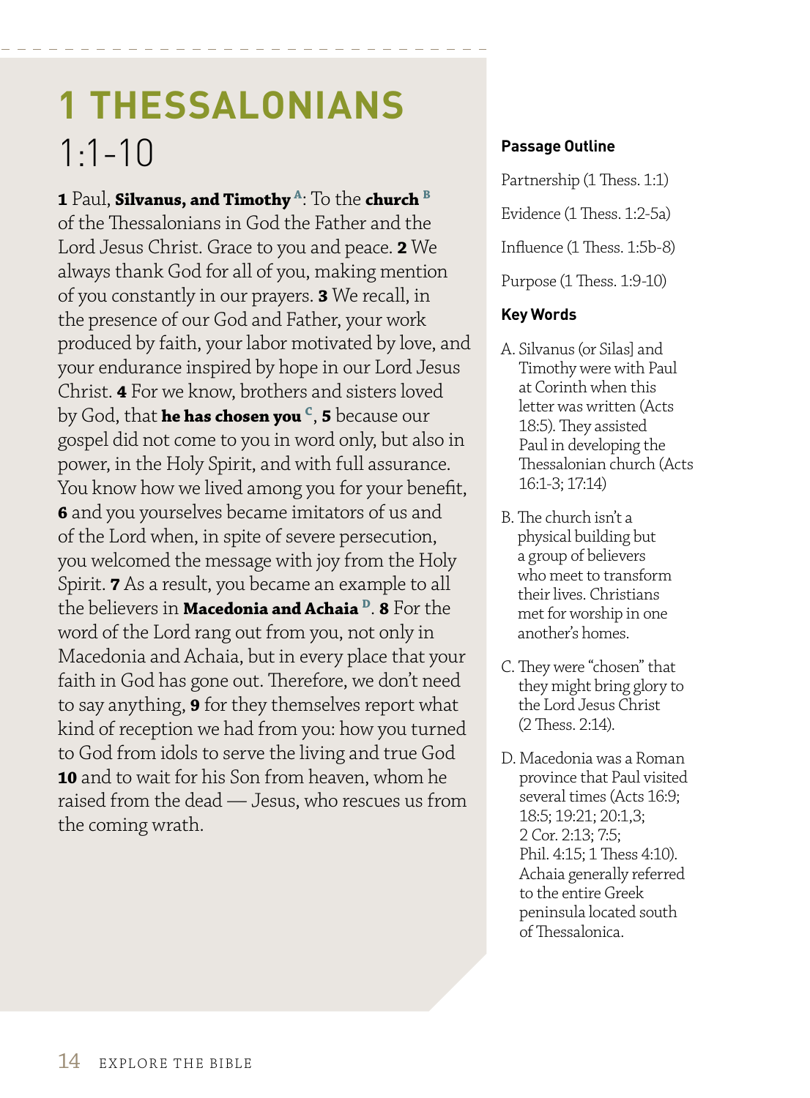# **1 THESSALONIANS** 1:1-10

**1** Paul, **Silvanus, and Timothy A**: To the **church B** of the Thessalonians in God the Father and the Lord Jesus Christ. Grace to you and peace. **2** We always thank God for all of you, making mention of you constantly in our prayers. **3** We recall, in the presence of our God and Father, your work produced by faith, your labor motivated by love, and your endurance inspired by hope in our Lord Jesus Christ. **4** For we know, brothers and sisters loved by God, that **he has chosen you C**, **5** because our gospel did not come to you in word only, but also in power, in the Holy Spirit, and with full assurance. You know how we lived among you for your benefit, **6** and you yourselves became imitators of us and of the Lord when, in spite of severe persecution, you welcomed the message with joy from the Holy Spirit. **7** As a result, you became an example to all the believers in **Macedonia and Achaia D**. **8** For the word of the Lord rang out from you, not only in Macedonia and Achaia, but in every place that your faith in God has gone out. Therefore, we don't need to say anything, **9** for they themselves report what kind of reception we had from you: how you turned to God from idols to serve the living and true God **10** and to wait for his Son from heaven, whom he raised from the dead — Jesus, who rescues us from the coming wrath.

#### **Passage Outline**

Partnership (1 Thess. 1:1) Evidence (1 Thess. 1:2-5a) Influence (1 Thess. 1:5b-8) Purpose (1 Thess. 1:9-10)

#### **Key Words**

- A. Silvanus (or Silas] and Timothy were with Paul at Corinth when this letter was written (Acts 18:5). They assisted Paul in developing the Thessalonian church (Acts 16:1-3; 17:14)
- B. The church isn't a physical building but a group of believers who meet to transform their lives. Christians met for worship in one another's homes.
- C. They were "chosen" that they might bring glory to the Lord Jesus Christ (2 Thess. 2:14).
- D. Macedonia was a Roman province that Paul visited several times (Acts 16:9; 18:5; 19:21; 20:1,3; 2 Cor. 2:13; 7:5; Phil. 4:15; 1 Thess 4:10). Achaia generally referred to the entire Greek peninsula located south of Thessalonica.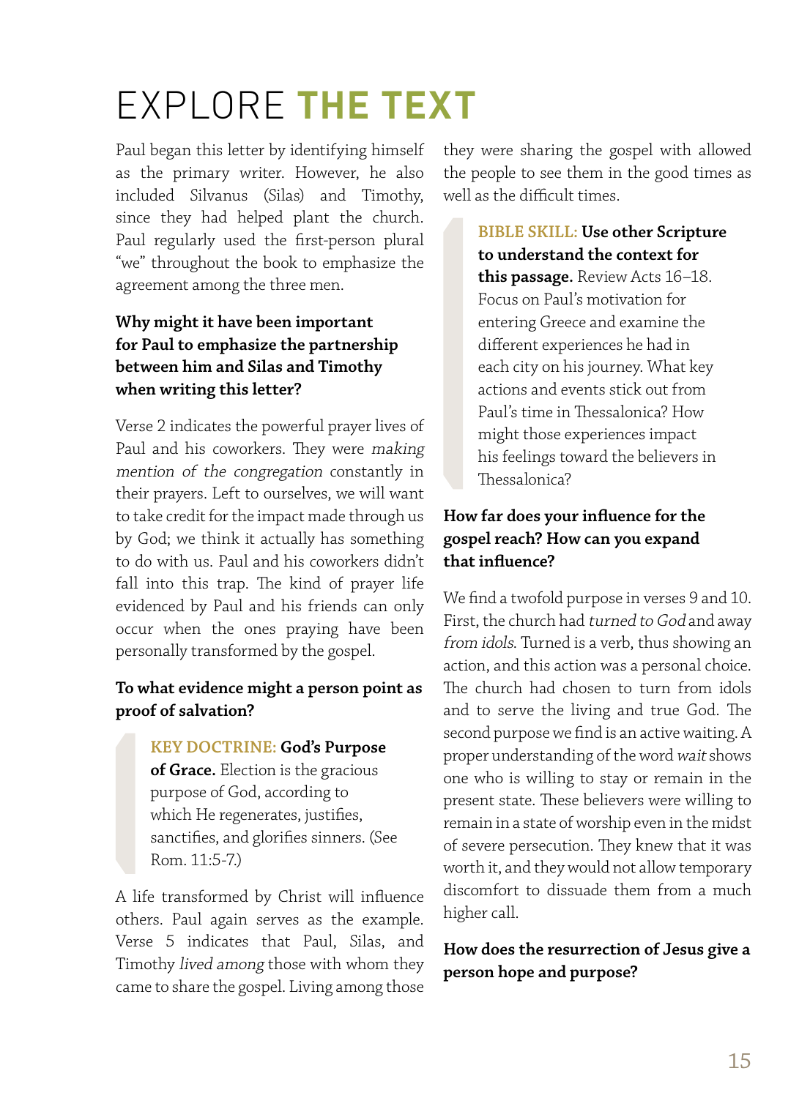# EXPLORE **THE TEXT**

Paul began this letter by identifying himself as the primary writer. However, he also included Silvanus (Silas) and Timothy, since they had helped plant the church. Paul regularly used the first-person plural "we" throughout the book to emphasize the agreement among the three men.

### **Why might it have been important for Paul to emphasize the partnership between him and Silas and Timothy when writing this letter?**

Verse 2 indicates the powerful prayer lives of Paul and his coworkers. They were making mention of the congregation constantly in their prayers. Left to ourselves, we will want to take credit for the impact made through us by God; we think it actually has something to do with us. Paul and his coworkers didn't fall into this trap. The kind of prayer life evidenced by Paul and his friends can only occur when the ones praying have been personally transformed by the gospel.

### **To what evidence might a person point as proof of salvation?**

**KEY DOCTRINE: God's Purpose of Grace.** Election is the gracious purpose of God, according to which He regenerates, justifies, sanctifies, and glorifies sinners. (See Rom. 11:5-7.)

A life transformed by Christ will influence others. Paul again serves as the example. Verse 5 indicates that Paul, Silas, and Timothy lived among those with whom they came to share the gospel. Living among those they were sharing the gospel with allowed the people to see them in the good times as well as the difficult times.

**BIBLE SKILL: Use other Scripture to understand the context for this passage.** Review Acts 16–18. Focus on Paul's motivation for entering Greece and examine the different experiences he had in each city on his journey. What key actions and events stick out from Paul's time in Thessalonica? How might those experiences impact his feelings toward the believers in Thessalonica?

### **How far does your influence for the gospel reach? How can you expand that influence?**

We find a twofold purpose in verses 9 and 10. First, the church had turned to God and away from idols. Turned is a verb, thus showing an action, and this action was a personal choice. The church had chosen to turn from idols and to serve the living and true God. The second purpose we find is an active waiting. A proper understanding of the word wait shows one who is willing to stay or remain in the present state. These believers were willing to remain in a state of worship even in the midst of severe persecution. They knew that it was worth it, and they would not allow temporary discomfort to dissuade them from a much higher call.

### **How does the resurrection of Jesus give a person hope and purpose?**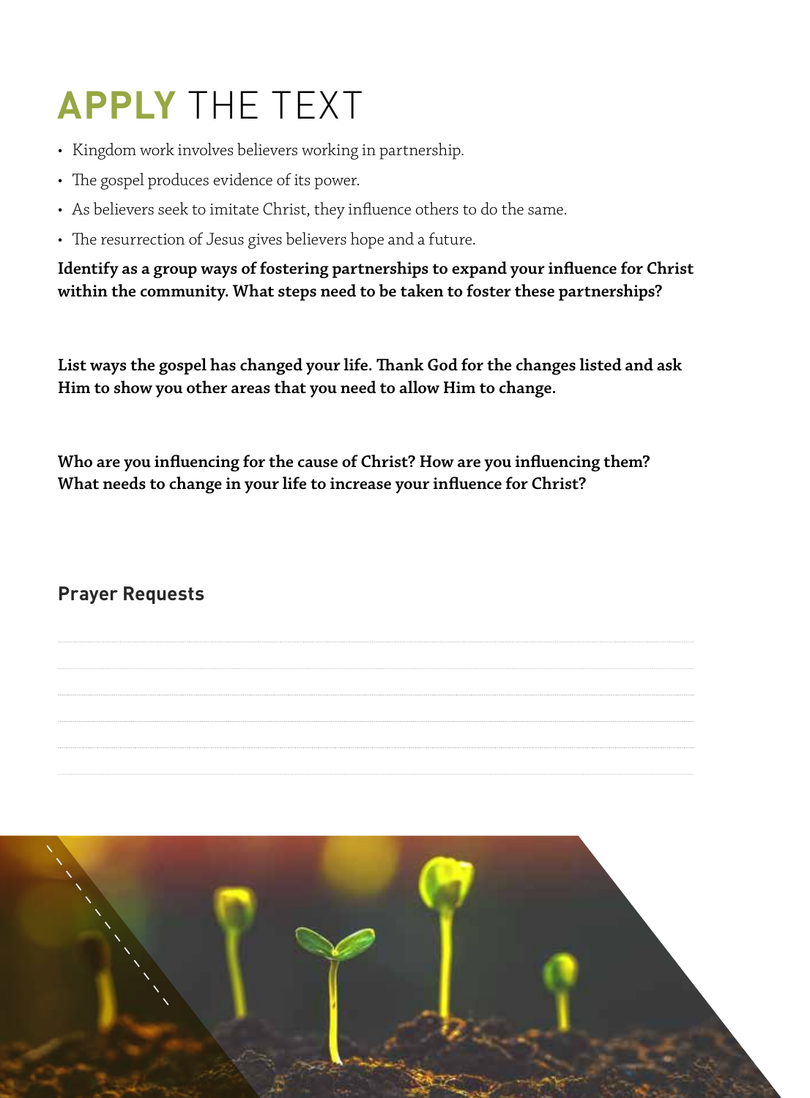# **APPLY** THE TEXT

- Kingdom work involves believers working in partnership.
- The gospel produces evidence of its power.
- As believers seek to imitate Christ, they influence others to do the same.
- The resurrection of Jesus gives believers hope and a future.

**Identify as a group ways of fostering partnerships to expand your influence for Christ within the community. What steps need to be taken to foster these partnerships?** 

**List ways the gospel has changed your life. Thank God for the changes listed and ask Him to show you other areas that you need to allow Him to change.** 

**Who are you influencing for the cause of Christ? How are you influencing them? What needs to change in your life to increase your influence for Christ?** 

**Prayer Requests**

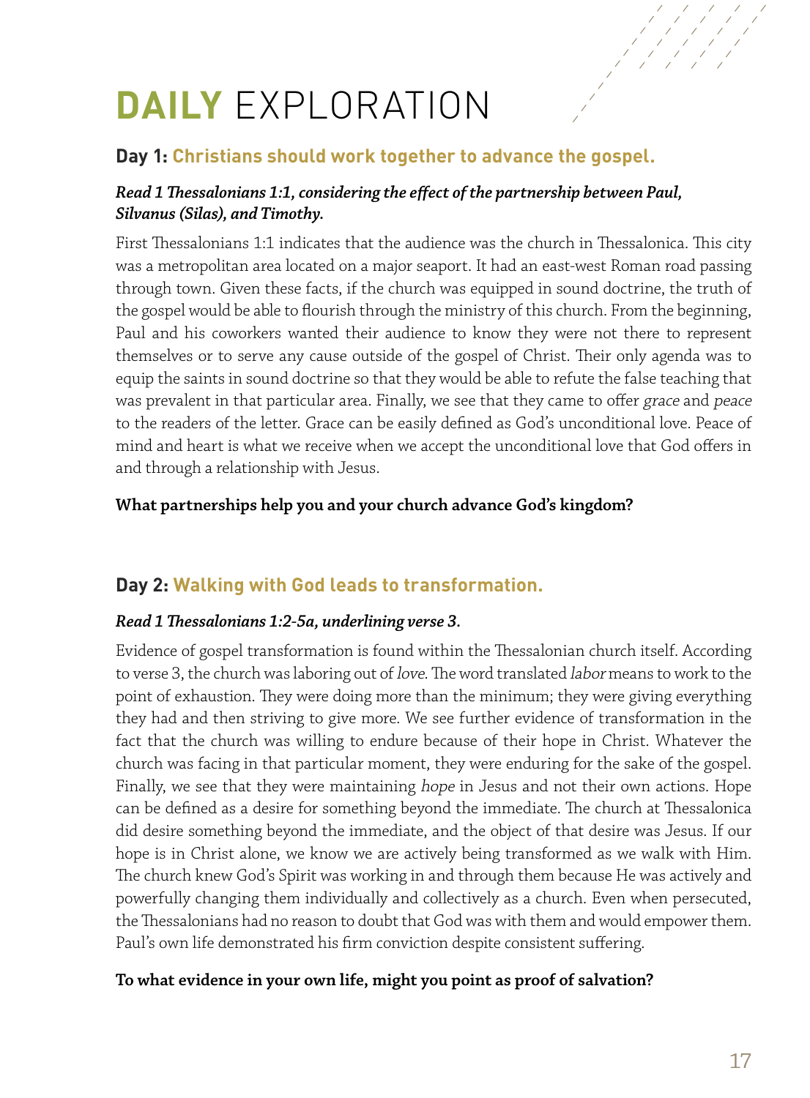# **DAILY** EXPLORATION

# **Day 1: Christians should work together to advance the gospel.**

#### *Read 1 Thessalonians 1:1, considering the effect of the partnership between Paul, Silvanus (Silas), and Timothy.*

First Thessalonians 1:1 indicates that the audience was the church in Thessalonica. This city was a metropolitan area located on a major seaport. It had an east-west Roman road passing through town. Given these facts, if the church was equipped in sound doctrine, the truth of the gospel would be able to flourish through the ministry of this church. From the beginning, Paul and his coworkers wanted their audience to know they were not there to represent themselves or to serve any cause outside of the gospel of Christ. Their only agenda was to equip the saints in sound doctrine so that they would be able to refute the false teaching that was prevalent in that particular area. Finally, we see that they came to offer grace and peace to the readers of the letter. Grace can be easily defined as God's unconditional love. Peace of mind and heart is what we receive when we accept the unconditional love that God offers in and through a relationship with Jesus.

#### **What partnerships help you and your church advance God's kingdom?**

# **Day 2: Walking with God leads to transformation.**

#### *Read 1 Thessalonians 1:2-5a, underlining verse 3.*

Evidence of gospel transformation is found within the Thessalonian church itself. According to verse 3, the church was laboring out of love. The word translated labor means to work to the point of exhaustion. They were doing more than the minimum; they were giving everything they had and then striving to give more. We see further evidence of transformation in the fact that the church was willing to endure because of their hope in Christ. Whatever the church was facing in that particular moment, they were enduring for the sake of the gospel. Finally, we see that they were maintaining hope in Jesus and not their own actions. Hope can be defined as a desire for something beyond the immediate. The church at Thessalonica did desire something beyond the immediate, and the object of that desire was Jesus. If our hope is in Christ alone, we know we are actively being transformed as we walk with Him. The church knew God's Spirit was working in and through them because He was actively and powerfully changing them individually and collectively as a church. Even when persecuted, the Thessalonians had no reason to doubt that God was with them and would empower them. Paul's own life demonstrated his firm conviction despite consistent suffering.

#### **To what evidence in your own life, might you point as proof of salvation?**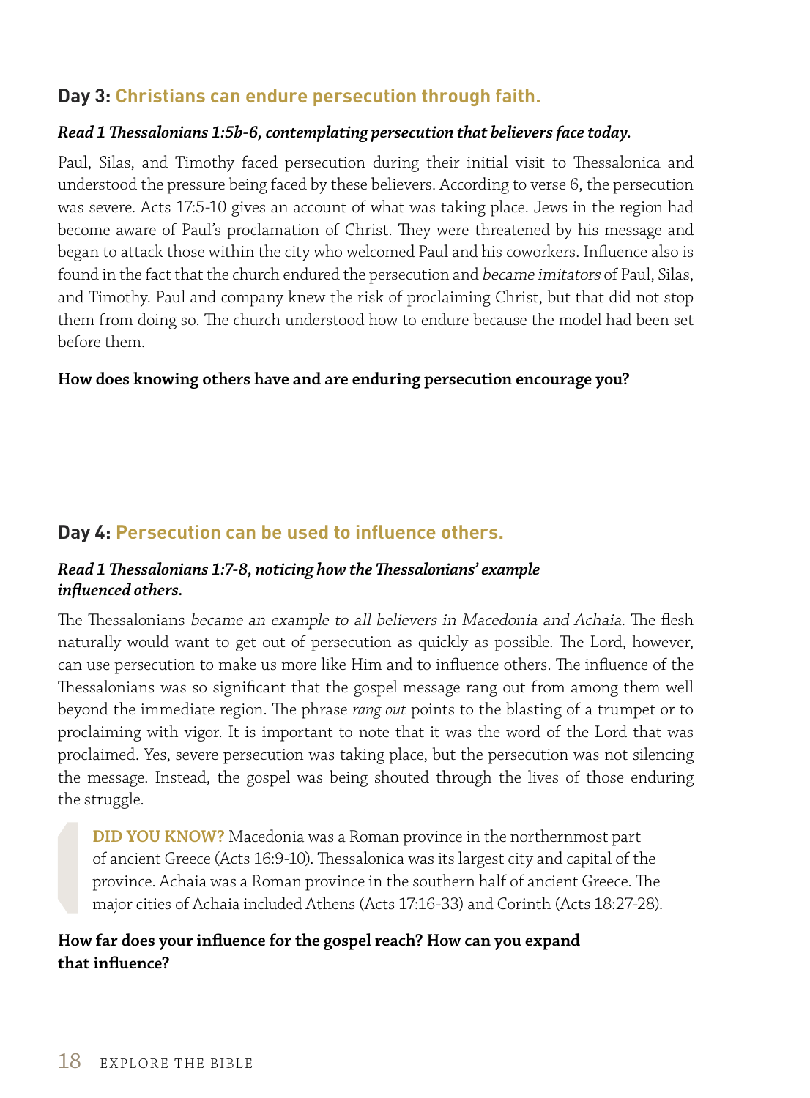## **Day 3: Christians can endure persecution through faith.**

#### *Read 1 Thessalonians 1:5b-6, contemplating persecution that believers face today.*

Paul, Silas, and Timothy faced persecution during their initial visit to Thessalonica and understood the pressure being faced by these believers. According to verse 6, the persecution was severe. Acts 17:5-10 gives an account of what was taking place. Jews in the region had become aware of Paul's proclamation of Christ. They were threatened by his message and began to attack those within the city who welcomed Paul and his coworkers. Influence also is found in the fact that the church endured the persecution and became imitators of Paul, Silas, and Timothy. Paul and company knew the risk of proclaiming Christ, but that did not stop them from doing so. The church understood how to endure because the model had been set before them.

#### **How does knowing others have and are enduring persecution encourage you?**

### **Day 4: Persecution can be used to influence others.**

#### *Read 1 Thessalonians 1:7-8, noticing how the Thessalonians' example influenced others.*

The Thessalonians became an example to all believers in Macedonia and Achaia. The flesh naturally would want to get out of persecution as quickly as possible. The Lord, however, can use persecution to make us more like Him and to influence others. The influence of the Thessalonians was so significant that the gospel message rang out from among them well beyond the immediate region. The phrase *rang out* points to the blasting of a trumpet or to proclaiming with vigor. It is important to note that it was the word of the Lord that was proclaimed. Yes, severe persecution was taking place, but the persecution was not silencing the message. Instead, the gospel was being shouted through the lives of those enduring the struggle.

**DID YOU KNOW?** Macedonia was a Roman province in the northernmost part of ancient Greece (Acts 16:9-10). Thessalonica was its largest city and capital of the province. Achaia was a Roman province in the southern half of ancient Greece. The major cities of Achaia included Athens (Acts 17:16-33) and Corinth (Acts 18:27-28).

#### **How far does your influence for the gospel reach? How can you expand that influence?**